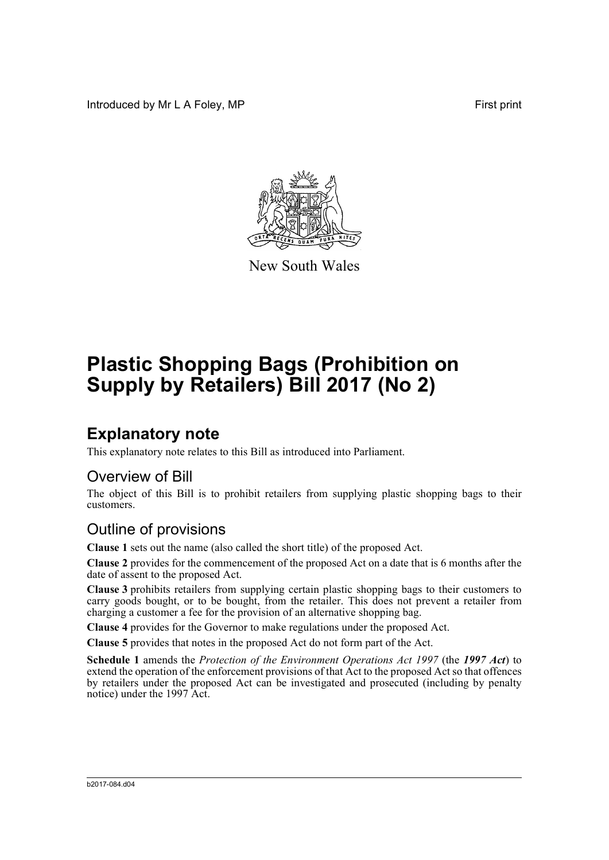Introduced by Mr L A Foley, MP **First** print



New South Wales

# **Plastic Shopping Bags (Prohibition on Supply by Retailers) Bill 2017 (No 2)**

## **Explanatory note**

This explanatory note relates to this Bill as introduced into Parliament.

#### Overview of Bill

The object of this Bill is to prohibit retailers from supplying plastic shopping bags to their customers.

#### Outline of provisions

**Clause 1** sets out the name (also called the short title) of the proposed Act.

**Clause 2** provides for the commencement of the proposed Act on a date that is 6 months after the date of assent to the proposed Act.

**Clause 3** prohibits retailers from supplying certain plastic shopping bags to their customers to carry goods bought, or to be bought, from the retailer. This does not prevent a retailer from charging a customer a fee for the provision of an alternative shopping bag.

**Clause 4** provides for the Governor to make regulations under the proposed Act.

**Clause 5** provides that notes in the proposed Act do not form part of the Act.

**Schedule 1** amends the *Protection of the Environment Operations Act 1997* (the *1997 Act*) to extend the operation of the enforcement provisions of that Act to the proposed Act so that offences by retailers under the proposed Act can be investigated and prosecuted (including by penalty notice) under the 1997 Act.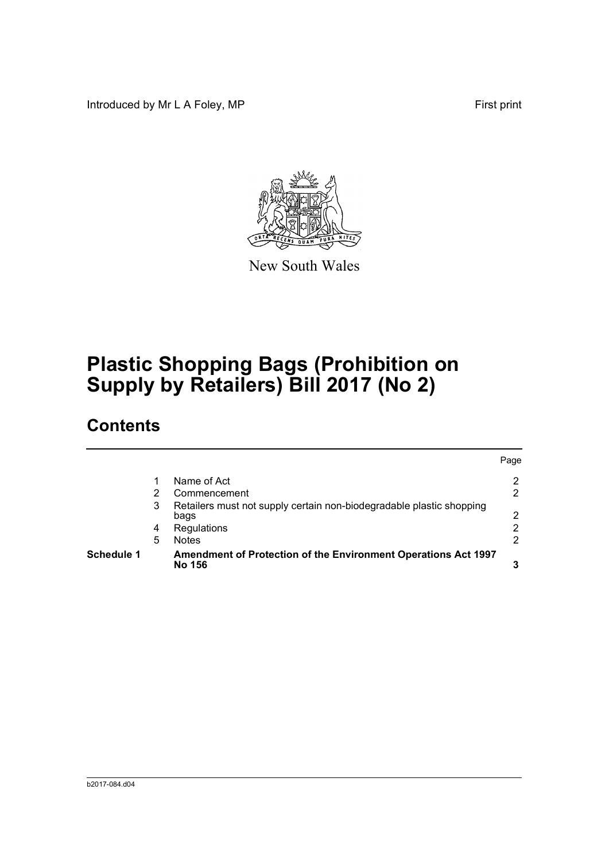Introduced by Mr L A Foley, MP **First** print



New South Wales

# **Plastic Shopping Bags (Prohibition on Supply by Retailers) Bill 2017 (No 2)**

## **Contents**

| <b>Schedule 1</b> |   | Amendment of Protection of the Environment Operations Act 1997<br>No 156     |      |
|-------------------|---|------------------------------------------------------------------------------|------|
|                   | 5 | <b>Notes</b>                                                                 | 2    |
|                   | 4 | Regulations                                                                  | 2    |
|                   | 3 | Retailers must not supply certain non-biodegradable plastic shopping<br>bags | 2    |
|                   |   | Commencement                                                                 | 2    |
|                   |   | Name of Act                                                                  | 2    |
|                   |   |                                                                              | Page |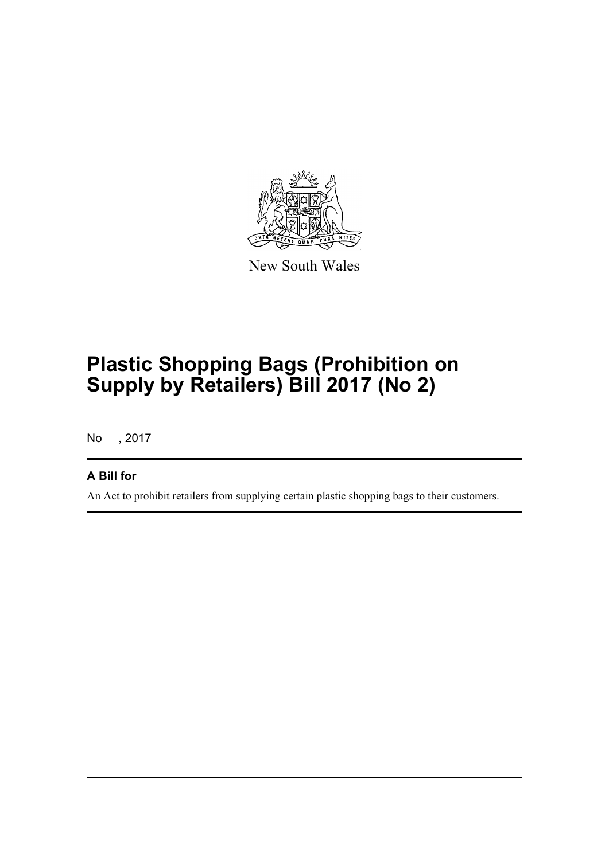

New South Wales

# **Plastic Shopping Bags (Prohibition on Supply by Retailers) Bill 2017 (No 2)**

No , 2017

#### **A Bill for**

An Act to prohibit retailers from supplying certain plastic shopping bags to their customers.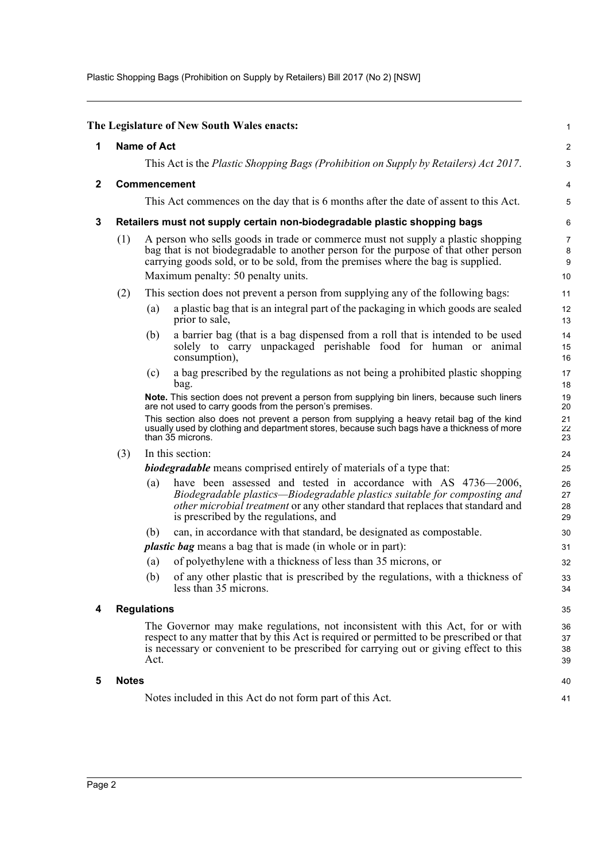Plastic Shopping Bags (Prohibition on Supply by Retailers) Bill 2017 (No 2) [NSW]

<span id="page-3-4"></span><span id="page-3-3"></span><span id="page-3-2"></span><span id="page-3-1"></span><span id="page-3-0"></span>

|              |                                                                                                                                                                                                                                                                             |                                                                                                                                                                                                                                                                                                    | The Legislature of New South Wales enacts:                                                                                                                                                                                                                                                                                                                            | 1                          |  |  |
|--------------|-----------------------------------------------------------------------------------------------------------------------------------------------------------------------------------------------------------------------------------------------------------------------------|----------------------------------------------------------------------------------------------------------------------------------------------------------------------------------------------------------------------------------------------------------------------------------------------------|-----------------------------------------------------------------------------------------------------------------------------------------------------------------------------------------------------------------------------------------------------------------------------------------------------------------------------------------------------------------------|----------------------------|--|--|
| 1            |                                                                                                                                                                                                                                                                             | <b>Name of Act</b>                                                                                                                                                                                                                                                                                 |                                                                                                                                                                                                                                                                                                                                                                       |                            |  |  |
|              |                                                                                                                                                                                                                                                                             |                                                                                                                                                                                                                                                                                                    | This Act is the <i>Plastic Shopping Bags (Prohibition on Supply by Retailers) Act 2017</i> .                                                                                                                                                                                                                                                                          | 3                          |  |  |
| $\mathbf{2}$ | Commencement                                                                                                                                                                                                                                                                |                                                                                                                                                                                                                                                                                                    |                                                                                                                                                                                                                                                                                                                                                                       |                            |  |  |
|              |                                                                                                                                                                                                                                                                             |                                                                                                                                                                                                                                                                                                    | This Act commences on the day that is 6 months after the date of assent to this Act.                                                                                                                                                                                                                                                                                  | 5                          |  |  |
| 3            |                                                                                                                                                                                                                                                                             |                                                                                                                                                                                                                                                                                                    | Retailers must not supply certain non-biodegradable plastic shopping bags                                                                                                                                                                                                                                                                                             | 6                          |  |  |
|              | (1)                                                                                                                                                                                                                                                                         | A person who sells goods in trade or commerce must not supply a plastic shopping<br>bag that is not biodegradable to another person for the purpose of that other person<br>carrying goods sold, or to be sold, from the premises where the bag is supplied.<br>Maximum penalty: 50 penalty units. |                                                                                                                                                                                                                                                                                                                                                                       |                            |  |  |
|              | (2)                                                                                                                                                                                                                                                                         |                                                                                                                                                                                                                                                                                                    | This section does not prevent a person from supplying any of the following bags:                                                                                                                                                                                                                                                                                      | 11                         |  |  |
|              |                                                                                                                                                                                                                                                                             | (a)                                                                                                                                                                                                                                                                                                | a plastic bag that is an integral part of the packaging in which goods are sealed<br>prior to sale,                                                                                                                                                                                                                                                                   | 12<br>13                   |  |  |
|              |                                                                                                                                                                                                                                                                             | (b)                                                                                                                                                                                                                                                                                                | a barrier bag (that is a bag dispensed from a roll that is intended to be used<br>solely to carry unpackaged perishable food for human or animal<br>consumption),                                                                                                                                                                                                     | 14<br>15<br>16             |  |  |
|              |                                                                                                                                                                                                                                                                             | (c)                                                                                                                                                                                                                                                                                                | a bag prescribed by the regulations as not being a prohibited plastic shopping<br>bag.                                                                                                                                                                                                                                                                                | 17<br>18                   |  |  |
|              |                                                                                                                                                                                                                                                                             |                                                                                                                                                                                                                                                                                                    | Note. This section does not prevent a person from supplying bin liners, because such liners<br>are not used to carry goods from the person's premises.<br>This section also does not prevent a person from supplying a heavy retail bag of the kind<br>usually used by clothing and department stores, because such bags have a thickness of more<br>than 35 microns. | 19<br>20<br>21<br>22<br>23 |  |  |
|              | In this section:<br>(3)                                                                                                                                                                                                                                                     |                                                                                                                                                                                                                                                                                                    |                                                                                                                                                                                                                                                                                                                                                                       |                            |  |  |
|              |                                                                                                                                                                                                                                                                             |                                                                                                                                                                                                                                                                                                    | biodegradable means comprised entirely of materials of a type that:                                                                                                                                                                                                                                                                                                   |                            |  |  |
|              |                                                                                                                                                                                                                                                                             | (a)                                                                                                                                                                                                                                                                                                | have been assessed and tested in accordance with AS 4736-2006,<br>Biodegradable plastics—Biodegradable plastics suitable for composting and<br>other microbial treatment or any other standard that replaces that standard and<br>is prescribed by the regulations, and                                                                                               | 26<br>27<br>28<br>29       |  |  |
|              |                                                                                                                                                                                                                                                                             | (b)                                                                                                                                                                                                                                                                                                | can, in accordance with that standard, be designated as compostable.                                                                                                                                                                                                                                                                                                  | 30                         |  |  |
|              |                                                                                                                                                                                                                                                                             |                                                                                                                                                                                                                                                                                                    | <i>plastic bag</i> means a bag that is made (in whole or in part):                                                                                                                                                                                                                                                                                                    | 31                         |  |  |
|              |                                                                                                                                                                                                                                                                             | (a)                                                                                                                                                                                                                                                                                                | of polyethylene with a thickness of less than 35 microns, or                                                                                                                                                                                                                                                                                                          | 32                         |  |  |
|              |                                                                                                                                                                                                                                                                             | (b)                                                                                                                                                                                                                                                                                                | of any other plastic that is prescribed by the regulations, with a thickness of<br>less than 35 microns.                                                                                                                                                                                                                                                              | 33<br>34                   |  |  |
| 4            |                                                                                                                                                                                                                                                                             | <b>Regulations</b>                                                                                                                                                                                                                                                                                 |                                                                                                                                                                                                                                                                                                                                                                       |                            |  |  |
|              | The Governor may make regulations, not inconsistent with this Act, for or with<br>respect to any matter that by this Act is required or permitted to be prescribed or that<br>is necessary or convenient to be prescribed for carrying out or giving effect to this<br>Act. |                                                                                                                                                                                                                                                                                                    |                                                                                                                                                                                                                                                                                                                                                                       |                            |  |  |
| 5            | <b>Notes</b>                                                                                                                                                                                                                                                                |                                                                                                                                                                                                                                                                                                    |                                                                                                                                                                                                                                                                                                                                                                       | 40                         |  |  |
|              |                                                                                                                                                                                                                                                                             | Notes included in this Act do not form part of this Act.                                                                                                                                                                                                                                           |                                                                                                                                                                                                                                                                                                                                                                       |                            |  |  |
|              |                                                                                                                                                                                                                                                                             |                                                                                                                                                                                                                                                                                                    |                                                                                                                                                                                                                                                                                                                                                                       |                            |  |  |